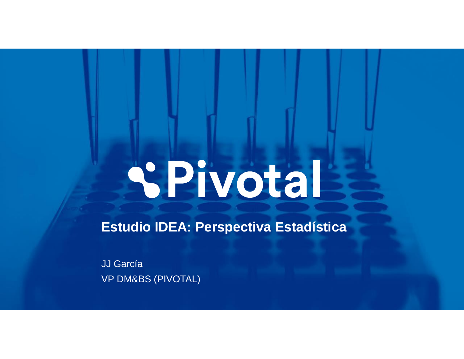# **SPivotal**

**Estudio IDEA: Perspectiva Estadística**

JJ García VP DM&BS (PIVOTAL)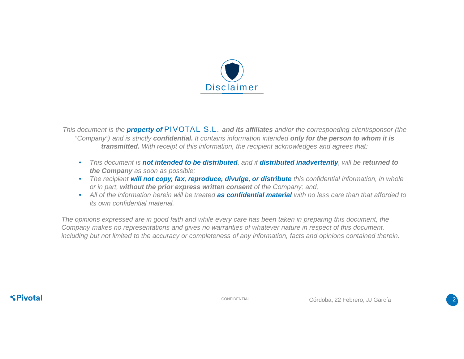

*This document is the property of* PIVOTAL S.L. *and its affiliates and/or the corresponding client/sponsor (the "Company") and is strictly confidential. It contains information intended only for the person to whom it is transmitted. With receipt of this information, the recipient acknowledges and agrees that:*

- *This document is not intended to be distributed, and if distributed inadvertently, will be returned to the Company as soon as possible;*
- *The recipient will not copy, fax, reproduce, divulge, or distribute this confidential information, in whole or in part, without the prior express written consent of the Company; and,*
- *All of the information herein will be treated as confidential material with no less care than that afforded to its own confidential material.*

*The opinions expressed are in good faith and while every care has been taken in preparing this document, the Company makes no representations and gives no warranties of whatever nature in respect of this document, including but not limited to the accuracy or completeness of any information, facts and opinions contained therein.*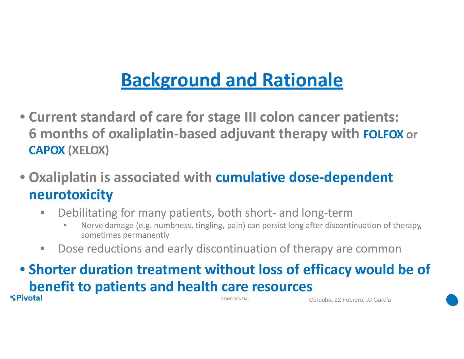## **Background and Rationale**

- **Current standard of care for stage III colon cancer patients: 6 months of oxaliplatin-based adjuvant therapy with FOLFOX or CAPOX (XELOX)**
- **Oxaliplatin is associated with cumulative dose-dependent neurotoxicity**
	- Debilitating for many patients, both short- and long-term
		- Nerve damage (e.g. numbness, tingling, pain) can persist long after discontinuation of therapy, sometimes permanently
	- Dose reductions and early discontinuation of therapy are common

### • **Shorter duration treatment without loss of efficacy would be of benefit to patients and health care resources**

Córdoba, 22 Febrero; JJ García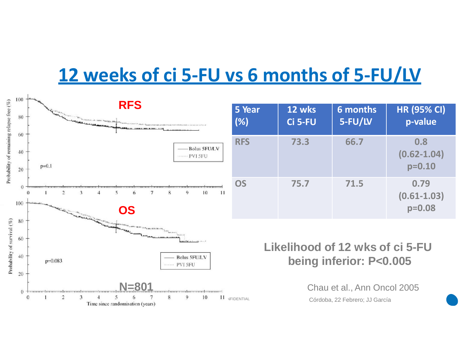## **12 weeks of ci 5-FU vs 6 months of 5-FU/LV**

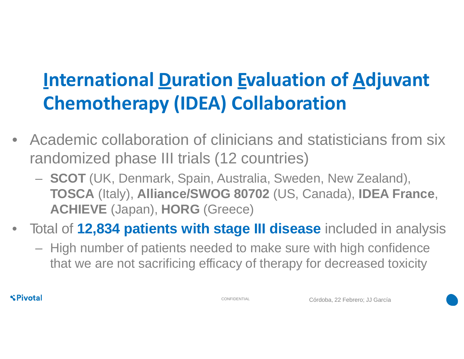## **International Duration Evaluation of Adjuvant Chemotherapy (IDEA) Collaboration**

- Academic collaboration of clinicians and statisticians from six randomized phase III trials (12 countries)
	- **SCOT** (UK, Denmark, Spain, Australia, Sweden, New Zealand), **TOSCA** (Italy), **Alliance/SWOG 80702** (US, Canada), **IDEA France**, **ACHIEVE** (Japan), **HORG** (Greece)
- Total of **12,834 patients with stage III disease** included in analysis
	- High number of patients needed to make sure with high confidence that we are not sacrificing efficacy of therapy for decreased toxicity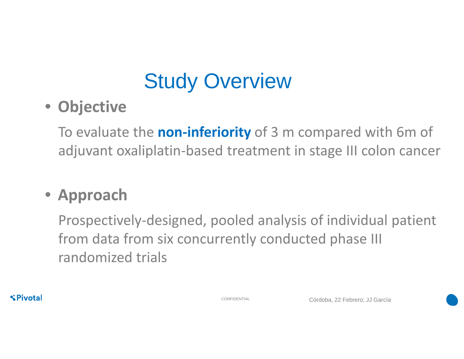# Study Overview

#### • **Objective**

To evaluate the **non-inferiority** of 3 m compared with 6m of adjuvant oxaliplatin-based treatment in stage III colon cancer

#### • **Approach**

Prospectively-designed, pooled analysis of individual patient from data from six concurrently conducted phase III randomized trials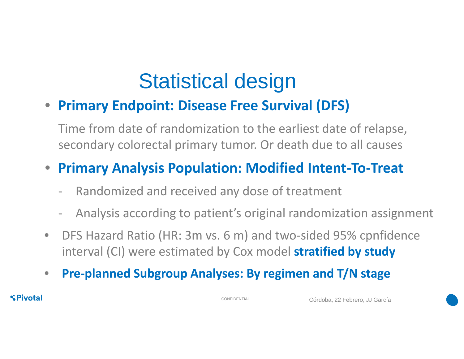## Statistical design

#### • **Primary Endpoint: Disease Free Survival (DFS)**

Time from date of randomization to the earliest date of relapse, secondary colorectal primary tumor. Or death due to all causes

#### • **Primary Analysis Population: Modified Intent-To-Treat**

- Randomized and received any dose of treatment
- Analysis according to patient's original randomization assignment
- DFS Hazard Ratio (HR: 3m vs. 6 m) and two-sided 95% cpnfidence interval (CI) were estimated by Cox model **stratified by study**
- **Pre-planned Subgroup Analyses: By regimen and T/N stage**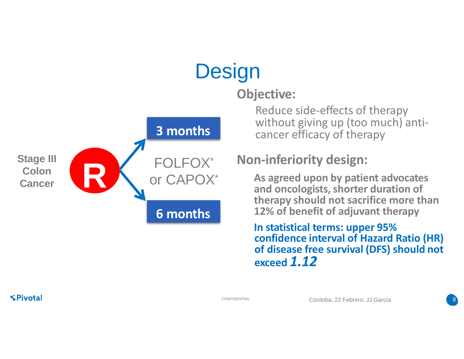

#### **Objective:**

**Design** 

Reduce side-effects of therapy without giving up (too much) anti-<br>cancer efficacy of therapy

#### **Non-inferiority design:**

**As agreed upon by patient advocates and oncologists,shorter duration of therapy should not sacrifice more than 12% of benefit of adjuvant therapy**

**In statistical terms: upper 95% confidence interval of Hazard Ratio (HR) of disease free survival (DFS) should not exceed** *1.12*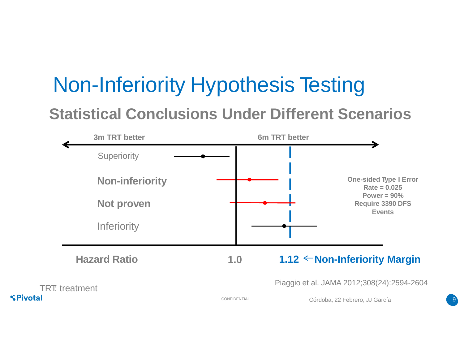# Non-Inferiority Hypothesis Testing

#### **Statistical Conclusions Under Different Scenarios**

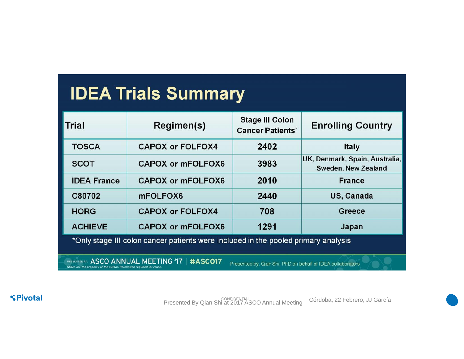## **IDEA Trials Summary**

| Trial                                                                                                           | Regimen(s)               | <b>Stage III Colon</b><br><b>Cancer Patients*</b> | <b>Enrolling Country</b>                              |
|-----------------------------------------------------------------------------------------------------------------|--------------------------|---------------------------------------------------|-------------------------------------------------------|
| <b>TOSCA</b>                                                                                                    | <b>CAPOX or FOLFOX4</b>  | 2402                                              | <b>Italy</b>                                          |
| <b>SCOT</b>                                                                                                     | <b>CAPOX or mFOLFOX6</b> | 3983                                              | UK, Denmark, Spain, Australia,<br>Sweden, New Zealand |
| <b>IDEA France</b>                                                                                              | <b>CAPOX or mFOLFOX6</b> | 2010                                              | <b>France</b>                                         |
| C80702                                                                                                          | mFOLFOX6                 | 2440                                              | US, Canada                                            |
| <b>HORG</b>                                                                                                     | <b>CAPOX or FOLFOX4</b>  | 708                                               | Greece                                                |
| <b>ACHIEVE</b>                                                                                                  | <b>CAPOX or mFOLFOX6</b> | 1291                                              | Japan                                                 |
| *Only stage III colon cancer patients were included in the pooled primary analysis                              |                          |                                                   |                                                       |
| PRESENTED AT: ASCO ANNUAL MEETING '17<br>#ASCO17<br>Presented by: Qian Shi, PhD on behalf of IDEA collaborators |                          |                                                   |                                                       |

**SPivotal** 

Presented By Qian Shi at 2017 ASCO Annual Meeting Córdoba, 22 Febrero; JJ García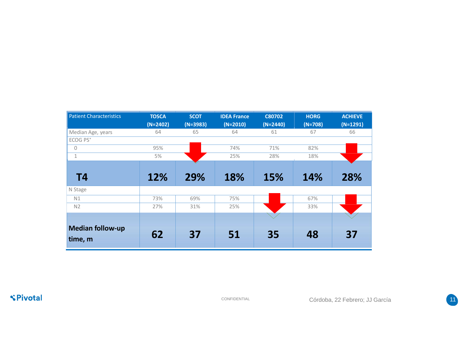| <b>Patient Characteristics</b>     | <b>TOSCA</b> | <b>SCOT</b> | <b>IDEA France</b> | <b>C80702</b> | <b>HORG</b> | <b>ACHIEVE</b> |
|------------------------------------|--------------|-------------|--------------------|---------------|-------------|----------------|
|                                    | $(N=2402)$   | $(N=3983)$  | $(N=2010)$         | $(N=2440)$    | $(N=708)$   | $(N=1291)$     |
| Median Age, years                  | 64           | 65          | 64                 | 61            | 67          | 66             |
| ECOG PS*                           |              |             |                    |               |             |                |
| 0                                  | 95%          |             | 74%                | 71%           | 82%         |                |
| $\mathbf{1}$                       | 5%           |             | 25%                | 28%           | 18%         |                |
|                                    |              |             |                    |               |             |                |
| T4                                 | 12%          | 29%         | 18%                | 15%           | 14%         | 28%            |
| N Stage                            |              |             |                    |               |             |                |
| N1                                 | 73%          | 69%         | 75%                |               | 67%         |                |
| N <sub>2</sub>                     | 27%          | 31%         | 25%                |               | 33%         |                |
|                                    |              |             |                    |               |             |                |
| <b>Median follow-up</b><br>time, m | 62           | 37          | 51                 | 35            | 48          | 37             |

**SPivotal** 

CONFIDENTIAL Córdoba, 22 Febrero; JJ García 11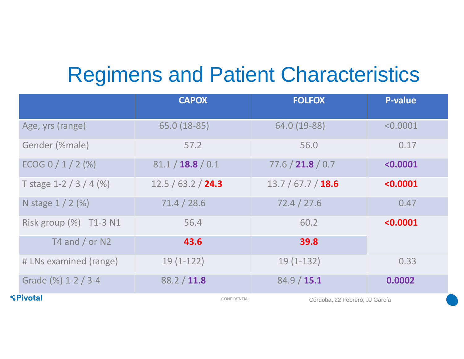## Regimens and Patient Characteristics

|                        | <b>CAPOX</b>       | <b>FOLFOX</b>                  | P-value  |
|------------------------|--------------------|--------------------------------|----------|
| Age, yrs (range)       | 65.0 (18-85)       | 64.0 (19-88)                   | < 0.0001 |
| Gender (%male)         | 57.2               | 56.0                           | 0.17     |
| ECOG 0 / 1 / 2 (%)     | 81.1 / 18.8 / 0.1  | 77.6 / 21.8 / 0.7              | < 0.0001 |
| T stage $1-2/3/4$ (%)  | 12.5 / 63.2 / 24.3 | 13.7 / 67.7 / 18.6             | < 0.0001 |
| N stage $1/2$ (%)      | 71.4 / 28.6        | 72.4 / 27.6                    | 0.47     |
| Risk group (%) T1-3 N1 | 56.4               | 60.2                           | < 0.0001 |
| T4 and $/$ or N2       | 43.6               | 39.8                           |          |
| # LNs examined (range) | $19(1-122)$        | $19(1-132)$                    | 0.33     |
| Grade (%) 1-2 / 3-4    | 88.2 / 11.8        | 84.9 / 15.1                    | 0.0002   |
| Pivotal                | CONFIDENTIAL       | Córdoba, 22 Febrero; JJ García |          |

 $\mathbf{C}$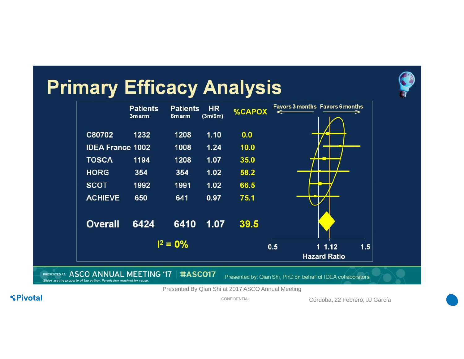



Presented By Qian Shi at 2017 ASCO Annual Meeting

**SPivotal** 

CONFIDENTIAL Córdoba, 22 Febrero; JJ García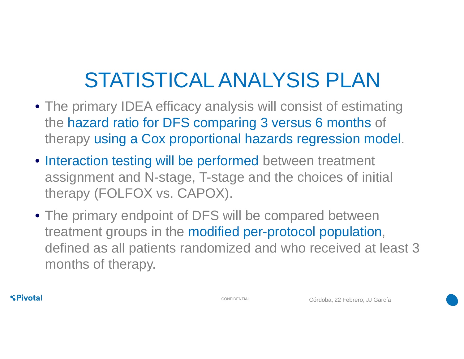# STATISTICAL ANALYSIS PLAN

- The primary IDEA efficacy analysis will consist of estimating the hazard ratio for DFS comparing 3 versus 6 months of therapy using a Cox proportional hazards regression model.
- Interaction testing will be performed between treatment assignment and N-stage, T-stage and the choices of initial therapy (FOLFOX vs. CAPOX).
- The primary endpoint of DFS will be compared between treatment groups in the modified per-protocol population, defined as all patients randomized and who received at least 3 months of therapy.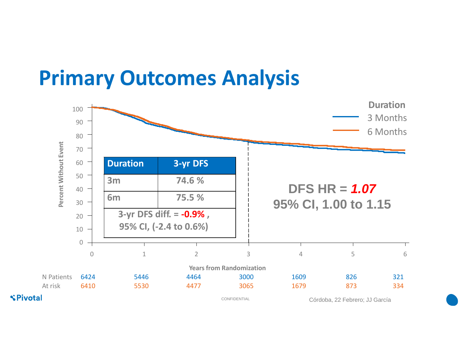## **Primary Outcomes Analysis**

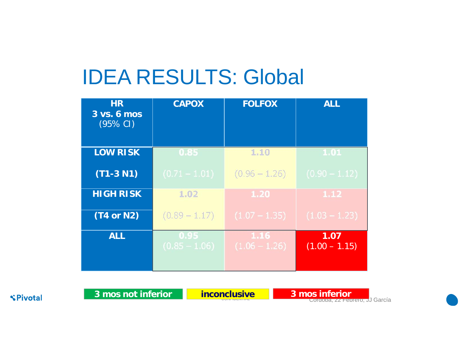## IDEA RESULTS: Global

| HR<br>3 vs. 6 mos<br>$(95\% \text{ Cl})$ | <b>CAPOX</b>            | <b>FOLFOX</b>           | <b>ALL</b>              |
|------------------------------------------|-------------------------|-------------------------|-------------------------|
| <b>LOW RISK</b>                          | 0.85                    | 1.10                    | 1.01                    |
| $(T1-3 N1)$                              | $(0.71 - 1.01)$         | $(0.96 - 1.26)$         | $(0.90 - 1.12)$         |
| <b>HIGH RISK</b>                         | 1.02                    | 1.20                    | 1.12                    |
| $(T4$ or N2)                             | $(0.89 - 1.17)$         | $(1.07 - 1.35)$         | $(1.03 - 1.23)$         |
| <b>ALL</b>                               | 0.95<br>$(0.85 - 1.06)$ | 1.16<br>$(1.06 - 1.26)$ | 1.07<br>$(1.00 - 1.15)$ |

**SPivotal** 

**3 mos not inferior inconclusive 3 mos inferior**

**Inconclusive 3 mos inferior**<br>Cordoba, 22 Febrero; JJ García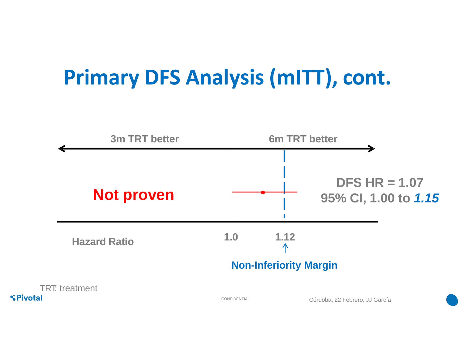# **Primary DFS Analysis (mITT), cont.**

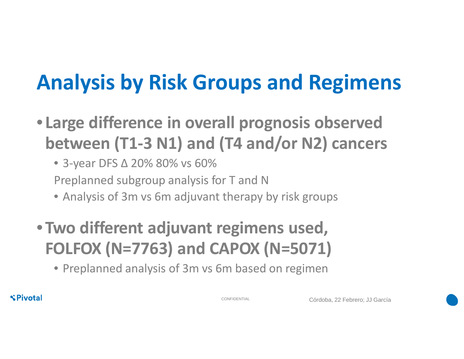# **Analysis by Risk Groups and Regimens**

• **Large difference in overall prognosis observed between (T1-3 N1) and (T4 and/or N2) cancers**

• 3-year DFS ∆ 20% 80% vs 60% Preplanned subgroup analysis for T and N

- Analysis of 3m vs 6m adjuvant therapy by risk groups
- **Two different adjuvant regimens used, FOLFOX (N=7763) and CAPOX (N=5071)**

• Preplanned analysis of 3m vs 6m based on regimen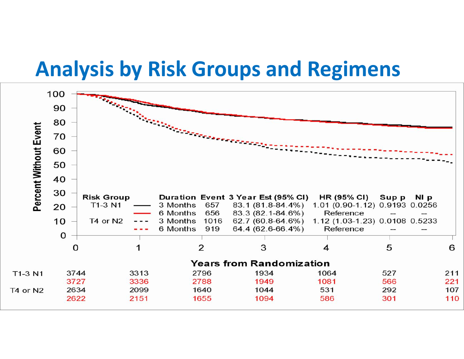## **Analysis by Risk Groups and Regimens**

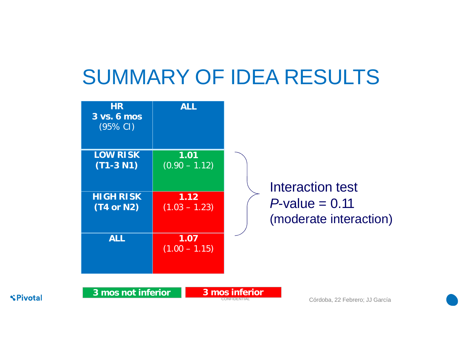## SUMMARY OF IDEA RESULTS

| <b>HR</b><br>3 vs. 6 mos<br>(95% CI) | <b>ALL</b>              |                                             |
|--------------------------------------|-------------------------|---------------------------------------------|
| <b>LOW RISK</b><br>$(T1-3 N1)$       | 1.01<br>$(0.90 - 1.12)$ | Interaction test                            |
| <b>HIGH RISK</b><br>$(T4$ or N2)     | 1.12<br>$(1.03 - 1.23)$ | $P$ -value = 0.11<br>(moderate interaction) |
| <b>ALL</b>                           | 1.07<br>$(1.00 - 1.15)$ |                                             |
| 3 mos not inferior                   |                         | 3 mos inferior                              |

**SPivotal** 

**CONFIDENTIAL Córdoba, 22 Febrero; JJ García**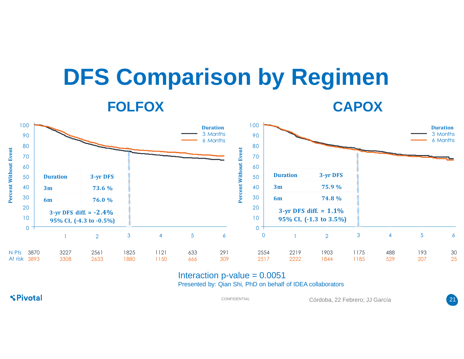# **DFS Comparison by Regimen FOLFOX CAPOX**



#### Interaction  $p$ -value =  $0.0051$ Presented by: Qian Shi, PhD on behalf of IDEA collaborators

**SPivotal** 

CONFIDENTIAL Córdoba, 22 Febrero; JJ García 21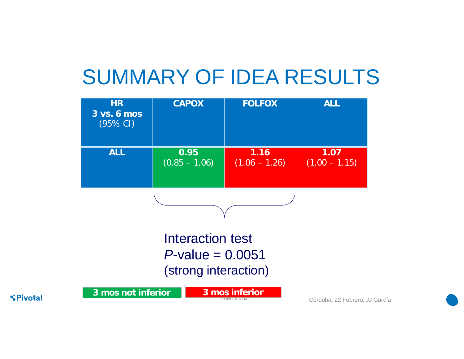## SUMMARY OF IDEA RESULTS

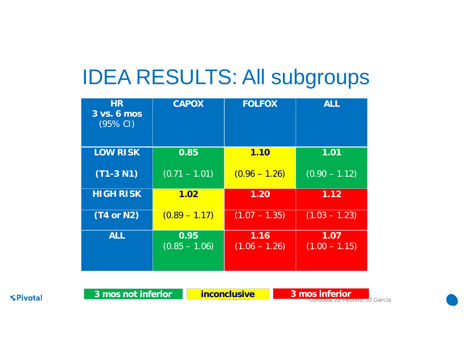## IDEA RESULTS: All subgroups

| <b>HR</b><br>3 vs. 6 mos<br>(95% CI) | <b>CAPOX</b>            | <b>FOLFOX</b>           | <b>ALL</b>              |
|--------------------------------------|-------------------------|-------------------------|-------------------------|
| <b>LOW RISK</b>                      | 0.85                    | 1.10                    | 1.01                    |
| $(T1-3 N1)$                          | $(0.71 - 1.01)$         | $(0.96 - 1.26)$         | $(0.90 - 1.12)$         |
| <b>HIGH RISK</b>                     | 1.02                    | 1.20                    | 1.12                    |
| $(T4$ or N2)                         | $(0.89 - 1.17)$         | $(1.07 - 1.35)$         | $(1.03 - 1.23)$         |
| <b>ALL</b>                           | 0.95<br>$(0.85 - 1.06)$ | 1.16<br>$(1.06 - 1.26)$ | 1.07<br>$(1.00 - 1.15)$ |

**SPivotal** 

**3 mos not inferior inconclusive 3 mos inferior**

**inconclusive 3 mos inferior**<br>Cordoba, 22 Febrero; JJ García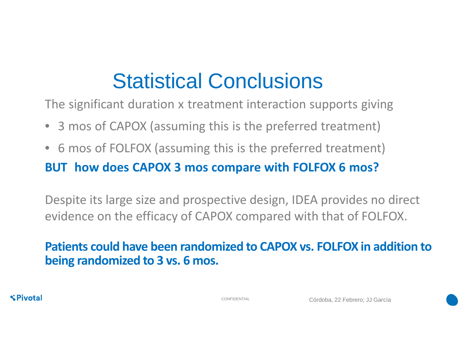# Statistical Conclusions

The significant duration x treatment interaction supports giving

- 3 mos of CAPOX (assuming this is the preferred treatment)
- 6 mos of FOLFOX (assuming this is the preferred treatment) **BUT how does CAPOX 3 mos compare with FOLFOX 6 mos?**

Despite its large size and prospective design, IDEA provides no direct evidence on the efficacy of CAPOX compared with that of FOLFOX.

#### **Patients could have been randomized to CAPOX vs. FOLFOX in addition to being randomized to 3 vs. 6 mos.**

**SPivotal** 

CONFIDENTIAL Córdoba, 22 Febrero; JJ García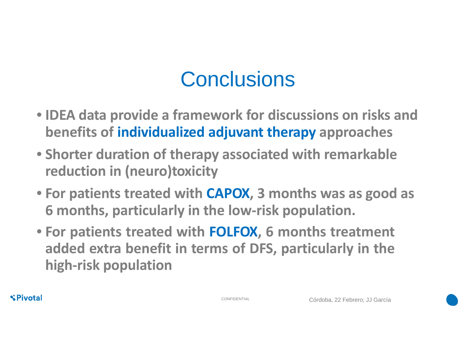## **Conclusions**

- **IDEA data provide a framework for discussions on risks and benefits of individualized adjuvant therapy approaches**
- **Shorter duration of therapy associated with remarkable reduction in (neuro)toxicity**
- **For patients treated with CAPOX, 3 months was as good as 6 months, particularly in the low-risk population.**
- **For patients treated with FOLFOX, 6 months treatment added extra benefit in terms of DFS, particularly in the high-risk population**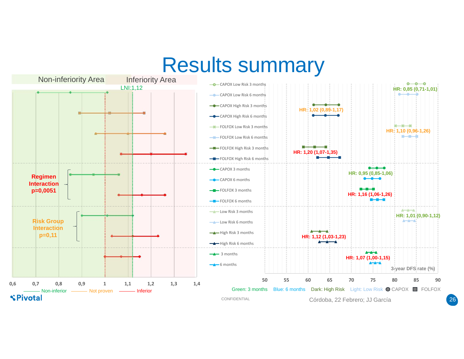## Results summary



26